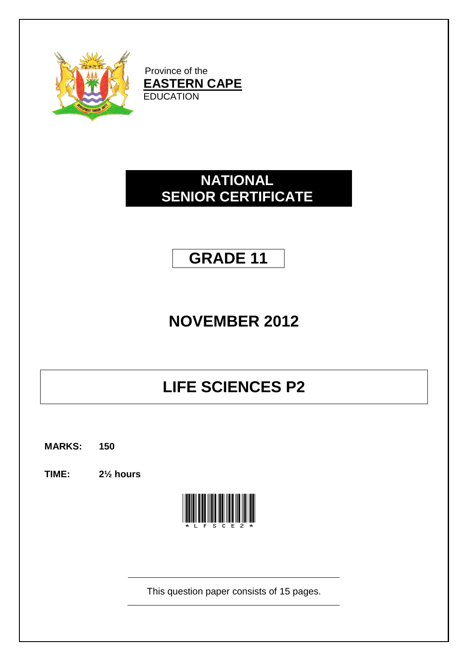

Province of the **EASTERN CAPE EDUCATION** 

## **NATIONAL SENIOR CERTIFICATE**

## **GRADE 11**

# **NOVEMBER 2012**

## **LIFE SCIENCES P2**

**MARKS: 150**

**TIME: 2½ hours**



This question paper consists of 15 pages.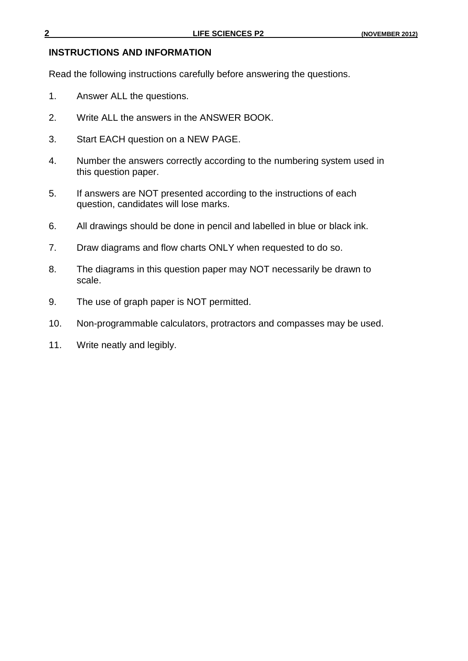#### **INSTRUCTIONS AND INFORMATION**

Read the following instructions carefully before answering the questions.

- 1. Answer ALL the questions.
- 2. Write ALL the answers in the ANSWER BOOK.
- 3. Start EACH question on a NEW PAGE.
- 4. Number the answers correctly according to the numbering system used in this question paper.
- 5. If answers are NOT presented according to the instructions of each question, candidates will lose marks.
- 6. All drawings should be done in pencil and labelled in blue or black ink.
- 7. Draw diagrams and flow charts ONLY when requested to do so.
- 8. The diagrams in this question paper may NOT necessarily be drawn to scale.
- 9. The use of graph paper is NOT permitted.
- 10. Non-programmable calculators, protractors and compasses may be used.
- 11. Write neatly and legibly.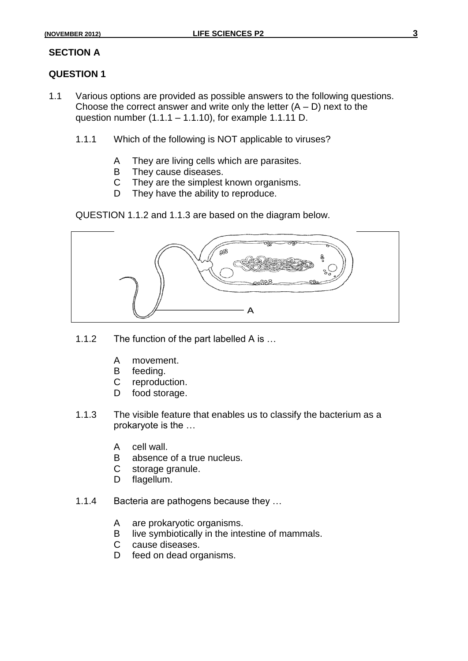#### **SECTION A**

#### **QUESTION 1**

- 1.1 Various options are provided as possible answers to the following questions. Choose the correct answer and write only the letter  $(A - D)$  next to the question number (1.1.1 – 1.1.10), for example 1.1.11 D.
	- 1.1.1 Which of the following is NOT applicable to viruses?
		- A They are living cells which are parasites.
		- B They cause diseases.
		- C They are the simplest known organisms.
		- D They have the ability to reproduce.

QUESTION 1.1.2 and 1.1.3 are based on the diagram below.



- 1.1.2 The function of the part labelled A is …
	- A movement.
	- B feeding.
	- C reproduction.
	- D food storage.
- 1.1.3 The visible feature that enables us to classify the bacterium as a prokaryote is the …
	- A cell wall.
	- B absence of a true nucleus.
	- C storage granule.
	- D flagellum.
- 1.1.4 Bacteria are pathogens because they …
	- A are prokaryotic organisms.
	- B live symbiotically in the intestine of mammals.
	- C cause diseases.
	- D feed on dead organisms.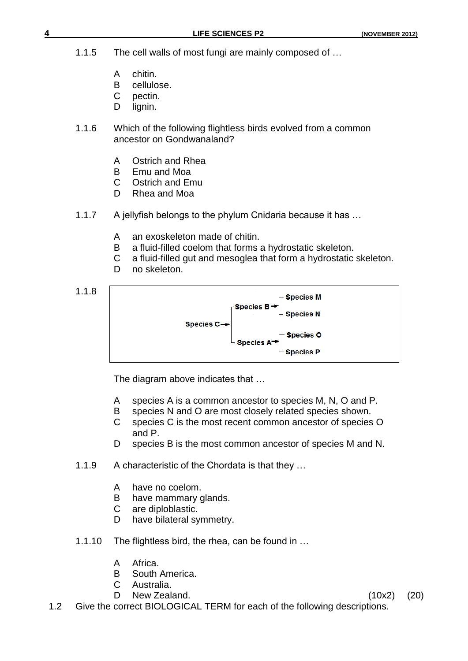- 1.1.5 The cell walls of most fungi are mainly composed of …
	- A chitin.
	- B cellulose.
	- C pectin.
	- D lignin.
- 1.1.6 Which of the following flightless birds evolved from a common ancestor on Gondwanaland?
	- A Ostrich and Rhea
	- B Emu and Moa
	- C Ostrich and Emu
	- D Rhea and Moa
- 1.1.7 A jellyfish belongs to the phylum Cnidaria because it has …
	- A an exoskeleton made of chitin.
	- B a fluid-filled coelom that forms a hydrostatic skeleton.
	- C a fluid-filled gut and mesoglea that form a hydrostatic skeleton.
	- D no skeleton.



The diagram above indicates that …

- A species A is a common ancestor to species M, N, O and P.
- B species N and O are most closely related species shown.
- C species C is the most recent common ancestor of species O and P.
- D species B is the most common ancestor of species M and N.
- 1.1.9 A characteristic of the Chordata is that they …
	- A have no coelom.
	- B have mammary glands.
	- C are diploblastic.
	- D have bilateral symmetry.
- 1.1.10 The flightless bird, the rhea, can be found in …
	- A Africa.
	- B South America.
	- C Australia.
	- D New Zealand. (10x2) (20)
- 
- 1.2 Give the correct BIOLOGICAL TERM for each of the following descriptions.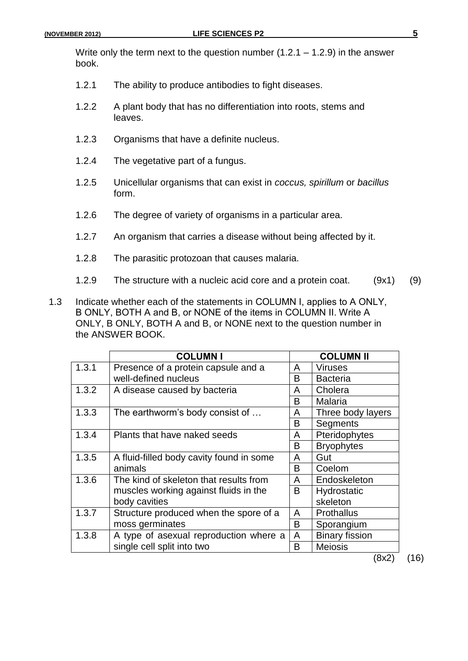Write only the term next to the question number  $(1.2.1 - 1.2.9)$  in the answer book.

- 1.2.1 The ability to produce antibodies to fight diseases.
- 1.2.2 A plant body that has no differentiation into roots, stems and leaves.
- 1.2.3 Organisms that have a definite nucleus.
- 1.2.4 The vegetative part of a fungus.
- 1.2.5 Unicellular organisms that can exist in *coccus, spirillum* or *bacillus* form.
- 1.2.6 The degree of variety of organisms in a particular area.
- 1.2.7 An organism that carries a disease without being affected by it.
- 1.2.8 The parasitic protozoan that causes malaria.
- 1.2.9 The structure with a nucleic acid core and a protein coat. (9x1) (9)
- 1.3 Indicate whether each of the statements in COLUMN Ι, applies to A ONLY, B ONLY, BOTH A and B, or NONE of the items in COLUMN ΙΙ. Write A ONLY, B ONLY, BOTH A and B, or NONE next to the question number in the ANSWER BOOK.

|       | <b>COLUMN I</b>                          | <b>COLUMN II</b> |                       |  |
|-------|------------------------------------------|------------------|-----------------------|--|
| 1.3.1 | Presence of a protein capsule and a      | A                | <b>Viruses</b>        |  |
|       | well-defined nucleus                     | В                | <b>Bacteria</b>       |  |
| 1.3.2 | A disease caused by bacteria             | A                | Cholera               |  |
|       |                                          | В                | Malaria               |  |
| 1.3.3 | The earthworm's body consist of          | A                | Three body layers     |  |
|       |                                          | В                | Segments              |  |
| 1.3.4 | Plants that have naked seeds             | A                | Pteridophytes         |  |
|       |                                          | B                | <b>Bryophytes</b>     |  |
| 1.3.5 | A fluid-filled body cavity found in some | A                | Gut                   |  |
|       | animals                                  | B                | Coelom                |  |
| 1.3.6 | The kind of skeleton that results from   | A                | Endoskeleton          |  |
|       | muscles working against fluids in the    | В                | Hydrostatic           |  |
|       | body cavities                            |                  | skeleton              |  |
| 1.3.7 | Structure produced when the spore of a   | A                | <b>Prothallus</b>     |  |
|       | moss germinates                          | В                | Sporangium            |  |
| 1.3.8 | A type of asexual reproduction where a   |                  | <b>Binary fission</b> |  |
|       | single cell split into two               | В                | <b>Meiosis</b>        |  |

(8x2) (16)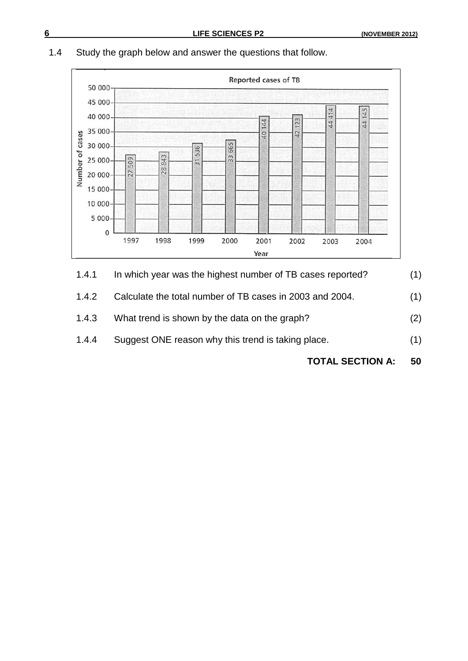### 1.4 Study the graph below and answer the questions that follow.



- 1.4.1 In which year was the highest number of TB cases reported? (1)
- 1.4.2 Calculate the total number of TB cases in 2003 and 2004. (1)
- 1.4.3 What trend is shown by the data on the graph? (2)
- 1.4.4 Suggest ONE reason why this trend is taking place. (1)
	- **TOTAL SECTION A: 50**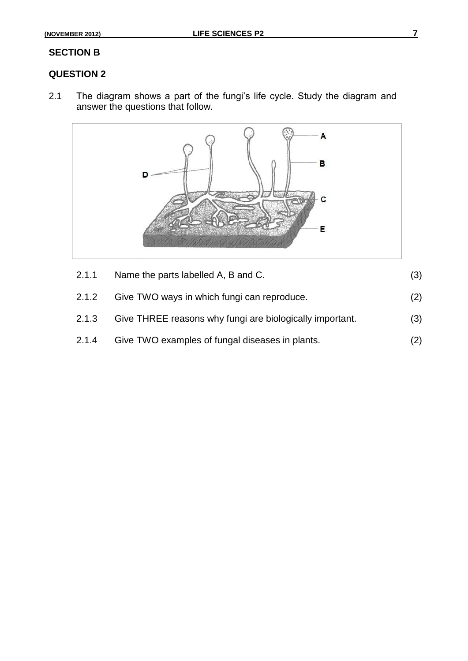#### **SECTION B**

### **QUESTION 2**

2.1 The diagram shows a part of the fungi's life cycle. Study the diagram and answer the questions that follow.



| 2.1.2 | Give TWO ways in which fungi can reproduce.              | (2) |
|-------|----------------------------------------------------------|-----|
| 2.1.3 | Give THREE reasons why fungi are biologically important. | (3) |
| 2.1.4 | Give TWO examples of fungal diseases in plants.          | (2) |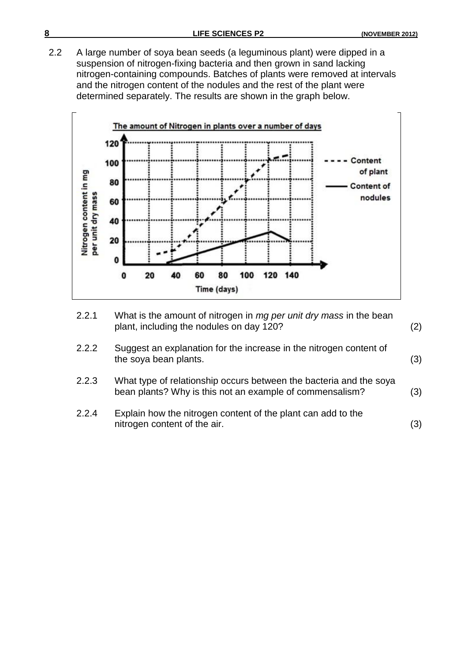2.2 A large number of soya bean seeds (a leguminous plant) were dipped in a suspension of nitrogen-fixing bacteria and then grown in sand lacking nitrogen-containing compounds. Batches of plants were removed at intervals and the nitrogen content of the nodules and the rest of the plant were determined separately. The results are shown in the graph below.



- 2.2.1 What is the amount of nitrogen in *mg per unit dry mass* in the bean plant, including the nodules on day 120? (2)
- 2.2.2 Suggest an explanation for the increase in the nitrogen content of the soya bean plants. (3)
- 2.2.3 What type of relationship occurs between the bacteria and the soya bean plants? Why is this not an example of commensalism? (3)
- 2.2.4 Explain how the nitrogen content of the plant can add to the nitrogen content of the air. (3)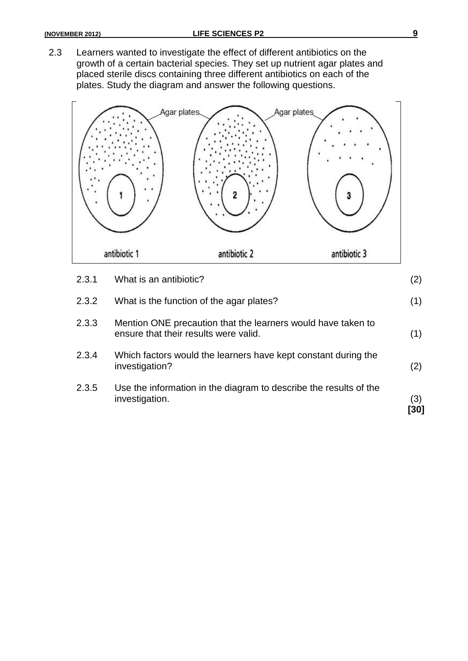2.3 Learners wanted to investigate the effect of different antibiotics on the growth of a certain bacterial species. They set up nutrient agar plates and placed sterile discs containing three different antibiotics on each of the plates. Study the diagram and answer the following questions.



| 2.3.5 | Use the information in the diagram to describe the results of the<br>investigation.                   | (3)<br>'301 |
|-------|-------------------------------------------------------------------------------------------------------|-------------|
| 2.3.4 | Which factors would the learners have kept constant during the<br>investigation?                      | (2)         |
| 2.3.3 | Mention ONE precaution that the learners would have taken to<br>ensure that their results were valid. | (1)         |
| 2.3.2 | What is the function of the agar plates?                                                              | (1)         |
| 2.3.1 | What is an antibiotic?                                                                                | (2)         |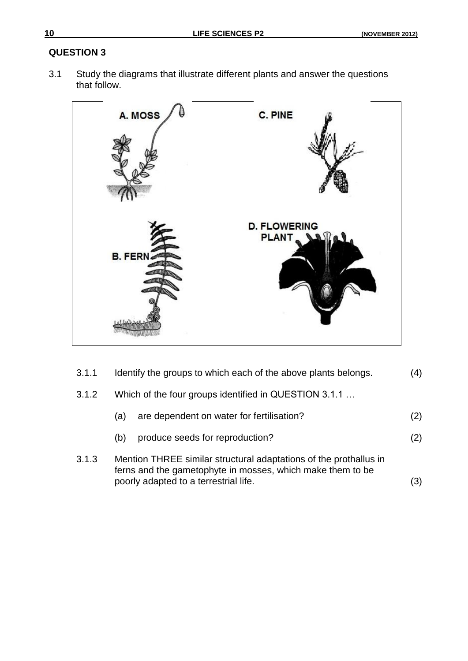### **QUESTION 3**

3.1 Study the diagrams that illustrate different plants and answer the questions that follow.



| 3.1.1 | Identify the groups to which each of the above plants belongs.                                                                                                           |     |  |
|-------|--------------------------------------------------------------------------------------------------------------------------------------------------------------------------|-----|--|
| 3.1.2 | Which of the four groups identified in QUESTION 3.1.1                                                                                                                    |     |  |
|       | are dependent on water for fertilisation?<br>(a)                                                                                                                         | (2) |  |
|       | produce seeds for reproduction?<br>(b)                                                                                                                                   | (2) |  |
| 3.1.3 | Mention THREE similar structural adaptations of the prothallus in<br>ferns and the gametophyte in mosses, which make them to be<br>poorly adapted to a terrestrial life. |     |  |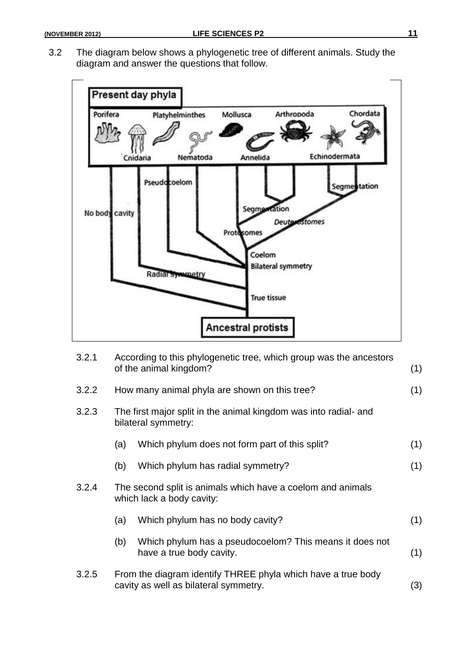3.2 The diagram below shows a phylogenetic tree of different animals. Study the diagram and answer the questions that follow.



| 3.2.1 | According to this phylogenetic tree, which group was the ancestors<br>of the animal kingdom? |                                                                                                       |     |  |
|-------|----------------------------------------------------------------------------------------------|-------------------------------------------------------------------------------------------------------|-----|--|
| 3.2.2 | How many animal phyla are shown on this tree?                                                |                                                                                                       |     |  |
| 3.2.3 | The first major split in the animal kingdom was into radial- and<br>bilateral symmetry:      |                                                                                                       |     |  |
|       | (a)                                                                                          | Which phylum does not form part of this split?                                                        | (1) |  |
|       | (b)                                                                                          | Which phylum has radial symmetry?                                                                     | (1) |  |
| 3.2.4 |                                                                                              | The second split is animals which have a coelom and animals<br>which lack a body cavity:              |     |  |
|       | (a)                                                                                          | Which phylum has no body cavity?                                                                      | (1) |  |
|       | (b)                                                                                          | Which phylum has a pseudocoelom? This means it does not<br>have a true body cavity.                   | (1) |  |
| 3.2.5 |                                                                                              | From the diagram identify THREE phyla which have a true body<br>cavity as well as bilateral symmetry. | (3) |  |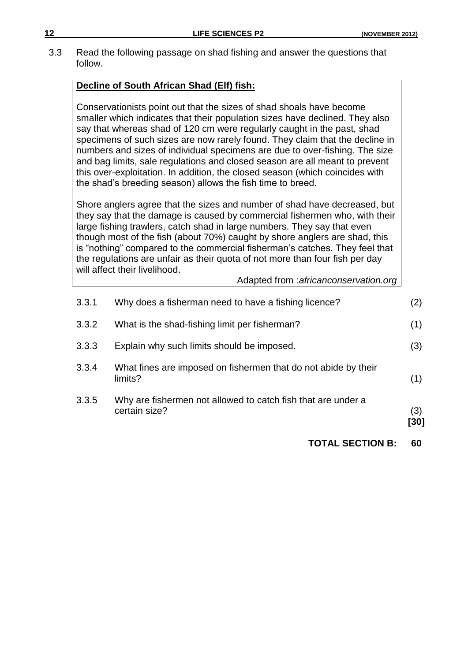3.3 Read the following passage on shad fishing and answer the questions that follow.

#### **Decline of South African Shad (Elf) fish:**

Conservationists point out that the sizes of shad shoals have become smaller which indicates that their population sizes have declined. They also say that whereas shad of 120 cm were regularly caught in the past, shad specimens of such sizes are now rarely found. They claim that the decline in numbers and sizes of individual specimens are due to over-fishing. The size and bag limits, sale regulations and closed season are all meant to prevent this over-exploitation. In addition, the closed season (which coincides with the shad's breeding season) allows the fish time to breed.

Shore anglers agree that the sizes and number of shad have decreased, but they say that the damage is caused by commercial fishermen who, with their large fishing trawlers, catch shad in large numbers. They say that even though most of the fish (about 70%) caught by shore anglers are shad, this is "nothing" compared to the commercial fisherman's catches. They feel that the regulations are unfair as their quota of not more than four fish per day will affect their livelihood.

Adapted from :*africanconservation.org*

| 3.3.5 | Why are fishermen not allowed to catch fish that are under a<br>certain size? | (3) |
|-------|-------------------------------------------------------------------------------|-----|
| 3.3.4 | What fines are imposed on fishermen that do not abide by their<br>limits?     | (1) |
| 3.3.3 | Explain why such limits should be imposed.                                    | (3) |
| 3.3.2 | What is the shad-fishing limit per fisherman?                                 | (1) |
| 3.3.1 | Why does a fisherman need to have a fishing licence?                          | (2) |

**TOTAL SECTION B: 60**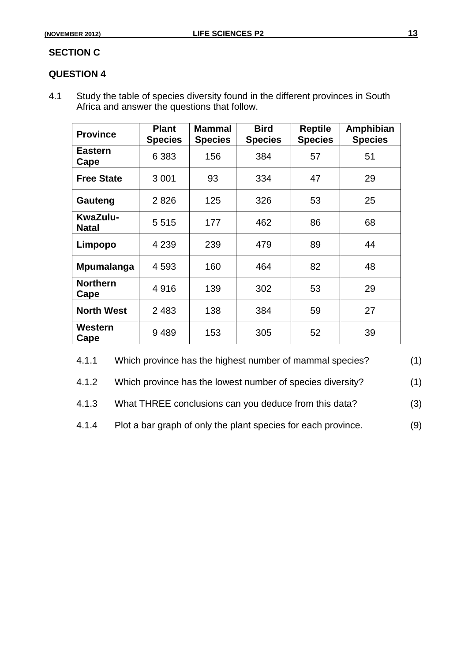#### **SECTION C**

#### **QUESTION 4**

4.1 Study the table of species diversity found in the different provinces in South Africa and answer the questions that follow.

| <b>Province</b>          | <b>Plant</b><br><b>Species</b> | <b>Mammal</b><br><b>Species</b> | <b>Bird</b><br><b>Species</b> | <b>Reptile</b><br><b>Species</b> | Amphibian<br><b>Species</b> |
|--------------------------|--------------------------------|---------------------------------|-------------------------------|----------------------------------|-----------------------------|
| <b>Eastern</b><br>Cape   | 6 3 8 3                        | 156                             | 384                           | 57                               | 51                          |
| <b>Free State</b>        | 3 0 0 1                        | 93                              | 334                           | 47                               | 29                          |
| Gauteng                  | 2826                           | 125                             | 326                           | 53                               | 25                          |
| KwaZulu-<br><b>Natal</b> | 5515                           | 177                             | 462                           | 86                               | 68                          |
| Limpopo                  | 4 2 3 9                        | 239                             | 479                           | 89                               | 44                          |
| Mpumalanga               | 4 5 9 3                        | 160                             | 464                           | 82                               | 48                          |
| <b>Northern</b><br>Cape  | 4916                           | 139                             | 302                           | 53                               | 29                          |
| <b>North West</b>        | 2483                           | 138                             | 384                           | 59                               | 27                          |
| Western<br>Cape          | 9489                           | 153                             | 305                           | 52                               | 39                          |

4.1.1 Which province has the highest number of mammal species? (1)

4.1.2 Which province has the lowest number of species diversity? (1)

4.1.3 What THREE conclusions can you deduce from this data? (3)

4.1.4 Plot a bar graph of only the plant species for each province. (9)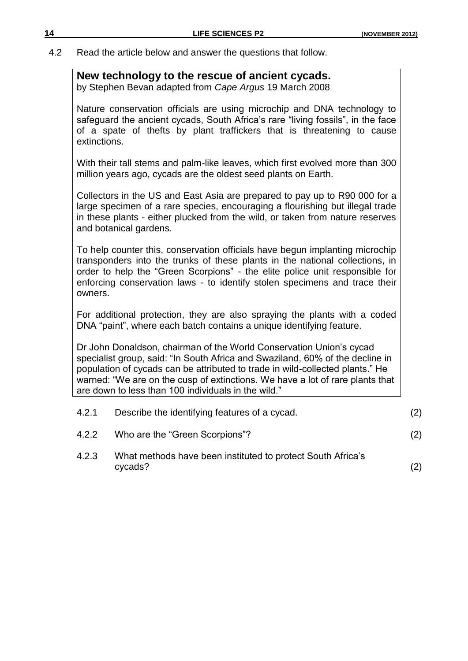4.2 Read the article below and answer the questions that follow.

#### **New technology to the rescue of ancient cycads.**

by Stephen Bevan adapted from *Cape Argus* 19 March 2008

Nature conservation officials are using microchip and DNA technology to safeguard the ancient cycads, South Africa's rare "living fossils", in the face of a spate of thefts by plant traffickers that is threatening to cause extinctions.

With their tall stems and palm-like leaves, which first evolved more than 300 million years ago, cycads are the oldest seed plants on Earth.

Collectors in the US and East Asia are prepared to pay up to R90 000 for a large specimen of a rare species, encouraging a flourishing but illegal trade in these plants - either plucked from the wild, or taken from nature reserves and botanical gardens.

To help counter this, conservation officials have begun implanting microchip transponders into the trunks of these plants in the national collections, in order to help the "Green Scorpions" - the elite police unit responsible for enforcing conservation laws - to identify stolen specimens and trace their owners.

For additional protection, they are also spraying the plants with a coded DNA "paint", where each batch contains a unique identifying feature.

Dr John Donaldson, chairman of the World Conservation Union's cycad specialist group, said: "In South Africa and Swaziland, 60% of the decline in population of cycads can be attributed to trade in wild-collected plants." He warned: "We are on the cusp of extinctions. We have a lot of rare plants that are down to less than 100 individuals in the wild."

| 4.2.1 | Describe the identifying features of a cycad.                          |     |
|-------|------------------------------------------------------------------------|-----|
| 4.2.2 | Who are the "Green Scorpions"?                                         | (2) |
| 4.2.3 | What methods have been instituted to protect South Africa's<br>cycads? | (2) |